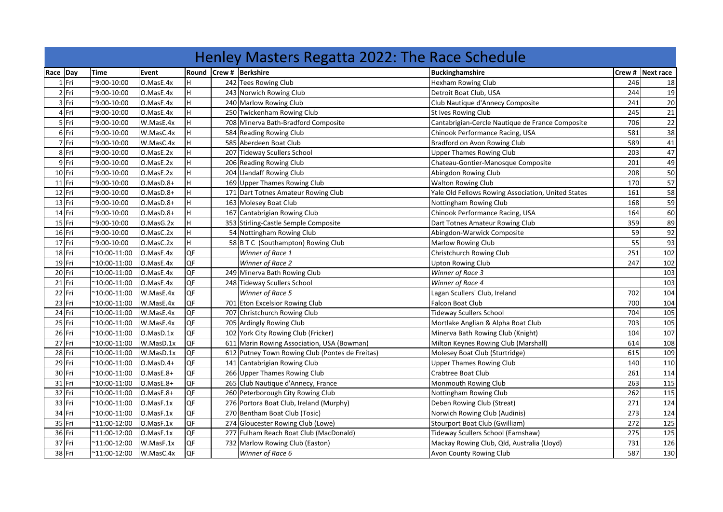|          |                       |           |    | Henley Masters Regatta 2022: The Race Schedule  |                                                    |     |                  |
|----------|-----------------------|-----------|----|-------------------------------------------------|----------------------------------------------------|-----|------------------|
| Race Day | <b>Time</b>           | Event     |    | Round Crew # Berkshire                          | <b>Buckinghamshire</b>                             |     | Crew # Next race |
| 1 Fri    | $^{\sim}9:00-10:00$   | O.MasE.4x | H  | 242 Tees Rowing Club                            | Hexham Rowing Club                                 | 246 | 18               |
| 2 Fri    | $^{\sim}9:00-10:00$   | O.MasE.4x | H. | 243 Norwich Rowing Club                         | Detroit Boat Club, USA                             | 244 | 19               |
| 3 Fri    | $^{\sim}9:00-10:00$   | O.MasE.4x | н  | 240 Marlow Rowing Club                          | Club Nautique d'Annecy Composite                   | 241 | 20               |
| 4 Fri    | ~9:00-10:00           | O.MasE.4x | H  | 250 Twickenham Rowing Club                      | St Ives Rowing Club                                | 245 | 21               |
| 5 Fri    | $^{\sim}9:00-10:00$   | W.MasE.4x | H. | 708 Minerva Bath-Bradford Composite             | Cantabrigian-Cercle Nautique de France Composite   | 706 | 22               |
| 6 Fri    | $^{\sim}9:00-10:00$   | W.MasC.4x |    | 584 Reading Rowing Club                         | Chinook Performance Racing, USA                    | 581 | 38               |
| 7 Fri    | $^{\sim}9:00-10:00$   | W.MasC.4x | H  | 585 Aberdeen Boat Club                          | Bradford on Avon Rowing Club                       | 589 | 41               |
| 8 Fri    | $9:00-10:00$          | O.MasE.2x |    | 207 Tideway Scullers School                     | <b>Upper Thames Rowing Club</b>                    | 203 | 47               |
| 9 Fri    | ~9:00-10:00           | O.MasE.2x | H  | 206 Reading Rowing Club                         | Chateau-Gontier-Manosque Composite                 | 201 | 49               |
| 10 Fri   | $^{\sim}9:00-10:00$   | O.MasE.2x | H. | 204 Llandaff Rowing Club                        | Abingdon Rowing Club                               | 208 | 50               |
| 11 Fri   | $^{\sim}$ 9:00-10:00  | O.MasD.8+ |    | 169 Upper Thames Rowing Club                    | <b>Walton Rowing Club</b>                          | 170 | 57               |
| 12 Fri   | $^{\sim}9:00-10:00$   | O.MasD.8+ |    | 171 Dart Totnes Amateur Rowing Club             | Yale Old Fellows Rowing Association, United States | 161 | 58               |
| 13 Fri   | $^{\sim}9:00-10:00$   | O.MasD.8+ | H. | 163 Molesey Boat Club                           | Nottingham Rowing Club                             | 168 | 59               |
| 14 Fri   | $^{\sim}9:00-10:00$   | O.MasD.8+ |    | 167 Cantabrigian Rowing Club                    | Chinook Performance Racing, USA                    | 164 | 60               |
| 15 Fri   | $9:00-10:00$          | O.MasG.2x | H. | 353 Stirling-Castle Semple Composite            | Dart Totnes Amateur Rowing Club                    | 359 | 89               |
| 16 Fri   | $^{\sim}9:00-10:00$   | O.MasC.2x | H. | 54 Nottingham Rowing Club                       | Abingdon-Warwick Composite                         | 59  | 92               |
| 17 Fri   | $^{\sim}9:00-10:00$   | O.MasC.2x | H. | 58 B T C (Southampton) Rowing Club              | Marlow Rowing Club                                 | 55  | 93               |
| 18 Fri   | $^{\sim}10:00-11:00$  | O.MasE.4x | QF | Winner of Race 1                                | Christchurch Rowing Club                           | 251 | 102              |
| 19 Fri   | $^{\sim}10:00-11:00$  | O.MasE.4x | QF | Winner of Race 2                                | <b>Upton Rowing Club</b>                           | 247 | 102              |
| 20 Fri   | $^{\sim}10:00-11:00$  | O.MasE.4x | QF | 249 Minerva Bath Rowing Club                    | Winner of Race 3                                   |     | 103              |
| 21 Fri   | $^{\sim}10:00-11:00$  | O.MasE.4x | QF | 248 Tideway Scullers School                     | Winner of Race 4                                   |     | 103              |
| 22 Fri   | $^{\sim}10:00-11:00$  | W.MasE.4x | QF | Winner of Race 5                                | Lagan Scullers' Club, Ireland                      | 702 | 104              |
| 23 Fri   | $^{\sim}10:00-11:00$  | W.MasE.4x | QF | 701 Eton Excelsior Rowing Club                  | <b>Falcon Boat Club</b>                            | 700 | 104              |
| 24 Fri   | $^{\sim}10:00-11:00$  | W.MasE.4x | QF | 707 Christchurch Rowing Club                    | <b>Tideway Scullers School</b>                     | 704 | 105              |
| 25 Fri   | $^{\sim}10:00-11:00$  | W.MasE.4x | QF | 705 Ardingly Rowing Club                        | Mortlake Anglian & Alpha Boat Club                 | 703 | 105              |
| 26 Fri   | $^{\sim}10:00-11:00$  | O.MasD.1x | QF | 102 York City Rowing Club (Fricker)             | Minerva Bath Rowing Club (Knight)                  | 104 | 107              |
| 27 Fri   | $^{\sim}10:00-11:00$  | W.MasD.1x | QF | 611 Marin Rowing Association, USA (Bowman)      | Milton Keynes Rowing Club (Marshall)               | 614 | 108              |
| 28 Fri   | $^{\sim}10:00-11:00$  | W.MasD.1x | QF | 612 Putney Town Rowing Club (Pontes de Freitas) | Molesey Boat Club (Sturtridge)                     | 615 | 109              |
| 29 Fri   | $^{\sim}10:00-11:00$  | O.MasD.4+ | QF | 141 Cantabrigian Rowing Club                    | <b>Upper Thames Rowing Club</b>                    | 140 | 110              |
| 30 Fri   | $^{\sim}10:00-11:00$  | O.MasE.8+ | QF | 266 Upper Thames Rowing Club                    | Crabtree Boat Club                                 | 261 | 114              |
| 31 Fri   | $^{\sim}10:00-11:00$  | O.MasE.8+ | QF | 265 Club Nautique d'Annecy, France              | Monmouth Rowing Club                               | 263 | 115              |
| 32 Fri   | $^{\sim}10:00-11:00$  | O.MasE.8+ | QF | 260 Peterborough City Rowing Club               | Nottingham Rowing Club                             | 262 | 115              |
| 33 Fri   | $^{\sim}10:00-11:00$  | O.MasF.1x | QF | 276 Portora Boat Club, Ireland (Murphy)         | Deben Rowing Club (Streat)                         | 271 | 124              |
| 34 Fri   | $^{\sim}10:00-11:00$  | O.MasF.1x | QF | 270 Bentham Boat Club (Tosic)                   | Norwich Rowing Club (Audinis)                      | 273 | 124              |
| 35 Fri   | $^{\sim}$ 11:00-12:00 | O.MasF.1x | QF | 274 Gloucester Rowing Club (Lowe)               | Stourport Boat Club (Gwilliam)                     | 272 | 125              |
| 36 Fri   | $^{\sim}11:00-12:00$  | O.MasF.1x | QF | 277 Fulham Reach Boat Club (MacDonald)          | Tideway Scullers School (Earnshaw)                 | 275 | 125              |
| 37 Fri   | $^{\sim}$ 11:00-12:00 | W.MasF.1x | QF | 732 Marlow Rowing Club (Easton)                 | Mackay Rowing Club, Qld, Australia (Lloyd)         | 731 | 126              |
| 38 Fri   | $^{\sim}$ 11:00-12:00 | W.MasC.4x | QF | Winner of Race 6                                | Avon County Rowing Club                            | 587 | 130              |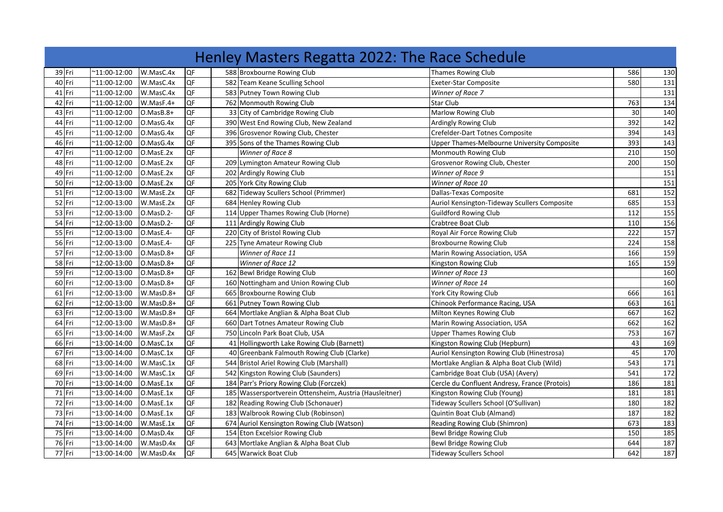|        |                       |             |    | Henley Masters Regatta 2022: The Race Schedule          |                                               |     |     |
|--------|-----------------------|-------------|----|---------------------------------------------------------|-----------------------------------------------|-----|-----|
| 39 Fri | $^{\sim}11:00-12:00$  | W.MasC.4x   | QF | 588 Broxbourne Rowing Club                              | Thames Rowing Club                            | 586 | 130 |
| 40 Fri | $^{\sim}11:00-12:00$  | W.MasC.4x   | QF | 582 Team Keane Sculling School                          | <b>Exeter-Star Composite</b>                  | 580 | 131 |
| 41 Fri | $^{\sim}11:00-12:00$  | W.MasC.4x   | QF | 583 Putney Town Rowing Club                             | Winner of Race 7                              |     | 131 |
| 42 Fri | $^{\sim}$ 11:00-12:00 | W.MasF.4+   | QF | 762 Monmouth Rowing Club                                | <b>Star Club</b>                              | 763 | 134 |
| 43 Fri | $^{\sim}$ 11:00-12:00 | O.MasB.8+   | QF | 33 City of Cambridge Rowing Club                        | Marlow Rowing Club                            | 30  | 140 |
| 44 Fri | $^{\sim}11:00-12:00$  | O.MasG.4x   | QF | 390 West End Rowing Club, New Zealand                   | Ardingly Rowing Club                          | 392 | 142 |
| 45 Fri | $^{\sim}$ 11:00-12:00 | O.MasG.4x   | QF | 396 Grosvenor Rowing Club, Chester                      | Crefelder-Dart Totnes Composite               | 394 | 143 |
| 46 Fri | $^{\sim}11:00-12:00$  | O.MasG.4x   | QF | 395 Sons of the Thames Rowing Club                      | Upper Thames-Melbourne University Composite   | 393 | 143 |
| 47 Fri | $^{\sim}$ 11:00-12:00 | O.MasE.2x   | QF | Winner of Race 8                                        | Monmouth Rowing Club                          | 210 | 150 |
| 48 Fri | $^{\sim}11:00-12:00$  | O.MasE.2x   | QF | 209 Lymington Amateur Rowing Club                       | Grosvenor Rowing Club, Chester                | 200 | 150 |
| 49 Fri | $^{\sim}$ 11:00-12:00 | O.MasE.2x   | QF | 202 Ardingly Rowing Club                                | Winner of Race 9                              |     | 151 |
| 50 Fri | $^{\sim}$ 12:00-13:00 | O.MasE.2x   | QF | 205 York City Rowing Club                               | Winner of Race 10                             |     | 151 |
| 51 Fri | $^{\sim}$ 12:00-13:00 | W.MasE.2x   | QF | 682 Tideway Scullers School (Primmer)                   | Dallas-Texas Composite                        | 681 | 152 |
| 52 Fri | $^{\sim}$ 12:00-13:00 | W.MasE.2x   | QF | 684 Henley Rowing Club                                  | Auriol Kensington-Tideway Scullers Composite  | 685 | 153 |
| 53 Fri | $^{\sim}$ 12:00-13:00 | O.MasD.2-   | QF | 114 Upper Thames Rowing Club (Horne)                    | <b>Guildford Rowing Club</b>                  | 112 | 155 |
| 54 Fri | $^{\sim}$ 12:00-13:00 | O.MasD.2-   | QF | 111 Ardingly Rowing Club                                | Crabtree Boat Club                            | 110 | 156 |
| 55 Fri | $^{\sim}$ 12:00-13:00 | O.MasE.4-   | QF | 220 City of Bristol Rowing Club                         | Royal Air Force Rowing Club                   | 222 | 157 |
| 56 Fri | $^{\sim}$ 12:00-13:00 | O.MasE.4-   | QF | 225 Tyne Amateur Rowing Club                            | <b>Broxbourne Rowing Club</b>                 | 224 | 158 |
| 57 Fri | $^{\sim}$ 12:00-13:00 | $O.MasD.8+$ | QF | Winner of Race 11                                       | Marin Rowing Association, USA                 | 166 | 159 |
| 58 Fri | $^{\sim}$ 12:00-13:00 | O.MasD.8+   | QF | Winner of Race 12                                       | Kingston Rowing Club                          | 165 | 159 |
| 59 Fri | $^{\sim}$ 12:00-13:00 | O.MasD.8+   | QF | 162 Bewl Bridge Rowing Club                             | Winner of Race 13                             |     | 160 |
| 60 Fri | $^{\sim}$ 12:00-13:00 | $O.MasD.8+$ | QF | 160 Nottingham and Union Rowing Club                    | Winner of Race 14                             |     | 160 |
| 61 Fri | $^{\sim}$ 12:00-13:00 | W.MasD.8+   | QF | 665 Broxbourne Rowing Club                              | York City Rowing Club                         | 666 | 161 |
| 62 Fri | $^{\sim}$ 12:00-13:00 | W.MasD.8+   | QF | 661 Putney Town Rowing Club                             | Chinook Performance Racing, USA               | 663 | 161 |
| 63 Fri | $^{\sim}$ 12:00-13:00 | W.MasD.8+   | QF | 664 Mortlake Anglian & Alpha Boat Club                  | Milton Keynes Rowing Club                     | 667 | 162 |
| 64 Fri | $^{\sim}$ 12:00-13:00 | W.MasD.8+   | QF | 660 Dart Totnes Amateur Rowing Club                     | Marin Rowing Association, USA                 | 662 | 162 |
| 65 Fri | $^{\sim}$ 13:00-14:00 | W.MasF.2x   | QF | 750 Lincoln Park Boat Club, USA                         | <b>Upper Thames Rowing Club</b>               | 753 | 167 |
| 66 Fri | $^{\sim}$ 13:00-14:00 | O.MasC.1x   | QF | 41 Hollingworth Lake Rowing Club (Barnett)              | Kingston Rowing Club (Hepburn)                | 43  | 169 |
| 67 Fri | $^{\sim}$ 13:00-14:00 | O.MasC.1x   | QF | 40 Greenbank Falmouth Rowing Club (Clarke)              | Auriol Kensington Rowing Club (Hinestrosa)    | 45  | 170 |
| 68 Fri | $^{\sim}$ 13:00-14:00 | W.MasC.1x   | QF | 544 Bristol Ariel Rowing Club (Marshall)                | Mortlake Anglian & Alpha Boat Club (Wild)     | 543 | 171 |
| 69 Fri | $^{\sim}$ 13:00-14:00 | W.MasC.1x   | QF | 542 Kingston Rowing Club (Saunders)                     | Cambridge Boat Club (USA) (Avery)             | 541 | 172 |
| 70 Fri | $^{\sim}$ 13:00-14:00 | O.MasE.1x   | QF | 184 Parr's Priory Rowing Club (Forczek)                 | Cercle du Confluent Andresy, France (Protois) | 186 | 181 |
| 71 Fri | $^{\sim}$ 13:00-14:00 | O.MasE.1x   | QF | 185 Wassersportverein Ottensheim, Austria (Hausleitner) | Kingston Rowing Club (Young)                  | 181 | 181 |
| 72 Fri | $^{\sim}$ 13:00-14:00 | O.MasE.1x   | QF | 182 Reading Rowing Club (Schonauer)                     | Tideway Scullers School (O'Sullivan)          | 180 | 182 |
| 73 Fri | $^{\sim}$ 13:00-14:00 | O.MasE.1x   | QF | 183 Walbrook Rowing Club (Robinson)                     | Quintin Boat Club (Almand)                    | 187 | 182 |
| 74 Fri | $^{\sim}$ 13:00-14:00 | W.MasE.1x   | QF | 674 Auriol Kensington Rowing Club (Watson)              | Reading Rowing Club (Shimron)                 | 673 | 183 |
| 75 Fri | $^{\sim}$ 13:00-14:00 | O.MasD.4x   | QF | 154 Eton Excelsior Rowing Club                          | Bewl Bridge Rowing Club                       | 150 | 185 |
| 76 Fri | $^{\sim}$ 13:00-14:00 | W.MasD.4x   | QF | 643 Mortlake Anglian & Alpha Boat Club                  | Bewl Bridge Rowing Club                       | 644 | 187 |
| 77 Fri | $^{\sim}$ 13:00-14:00 | W.MasD.4x   | QF | 645 Warwick Boat Club                                   | <b>Tideway Scullers School</b>                | 642 | 187 |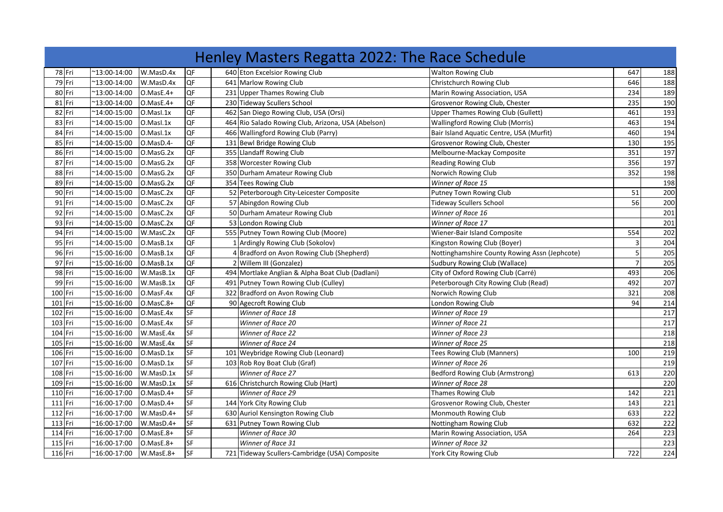|         |                       |             |           | Henley Masters Regatta 2022: The Race Schedule     |                                               |                |     |
|---------|-----------------------|-------------|-----------|----------------------------------------------------|-----------------------------------------------|----------------|-----|
| 78 Fri  | $^{\sim}$ 13:00-14:00 | W.MasD.4x   | QF        | 640 Eton Excelsior Rowing Club                     | Walton Rowing Club                            | 647            | 188 |
| 79 Fri  | $^{\sim}$ 13:00-14:00 | W.MasD.4x   | QF        | 641 Marlow Rowing Club                             | Christchurch Rowing Club                      | 646            | 188 |
| 80 Fri  | $^{\sim}$ 13:00-14:00 | O.MasE.4+   | QF        | 231 Upper Thames Rowing Club                       | Marin Rowing Association, USA                 | 234            | 189 |
| 81 Fri  | $^{\sim}$ 13:00-14:00 | O.MasE.4+   | QF        | 230 Tideway Scullers School                        | Grosvenor Rowing Club, Chester                | 235            | 190 |
| 82 Fri  | $^{\sim}$ 14:00-15:00 | O.Masl.1x   | QF        | 462 San Diego Rowing Club, USA (Orsi)              | <b>Upper Thames Rowing Club (Gullett)</b>     | 461            | 193 |
| 83 Fri  | $^{\sim}$ 14:00-15:00 | O.Masl.1x   | QF        | 464 Rio Salado Rowing Club, Arizona, USA (Abelson) | Wallingford Rowing Club (Morris)              | 463            | 194 |
| 84 Fri  | $^{\sim}$ 14:00-15:00 | O.Masl.1x   | QF        | 466 Wallingford Rowing Club (Parry)                | Bair Island Aquatic Centre, USA (Murfit)      | 460            | 194 |
| 85 Fri  | $^{\sim}$ 14:00-15:00 | O.MasD.4-   | QF        | 131 Bewl Bridge Rowing Club                        | Grosvenor Rowing Club, Chester                | 130            | 195 |
| 86 Fri  | $^{\sim}$ 14:00-15:00 | O.MasG.2x   | QF        | 355 Llandaff Rowing Club                           | Melbourne-Mackay Composite                    | 351            | 197 |
| 87 Fri  | $^{\sim}$ 14:00-15:00 | O.MasG.2x   | QF        | 358 Worcester Rowing Club                          | <b>Reading Rowing Club</b>                    | 356            | 197 |
| 88 Fri  | $^{\sim}$ 14:00-15:00 | O.MasG.2x   | QF        | 350 Durham Amateur Rowing Club                     | Norwich Rowing Club                           | 352            | 198 |
| 89 Fri  | $^{\sim}$ 14:00-15:00 | O.MasG.2x   | QF        | 354 Tees Rowing Club                               | Winner of Race 15                             |                | 198 |
| 90 Fri  | $^{\sim}$ 14:00-15:00 | O.MasC.2x   | QF        | 52 Peterborough City-Leicester Composite           | Putney Town Rowing Club                       | 51             | 200 |
| 91 Fri  | $^{\sim}$ 14:00-15:00 | O.MasC.2x   | QF        | 57 Abingdon Rowing Club                            | <b>Tideway Scullers School</b>                | 56             | 200 |
| 92 Fri  | $^{\sim}$ 14:00-15:00 | O.MasC.2x   | QF        | 50 Durham Amateur Rowing Club                      | Winner of Race 16                             |                | 201 |
| 93 Fri  | $^{\sim}$ 14:00-15:00 | O.MasC.2x   | QF        | 53 London Rowing Club                              | Winner of Race 17                             |                | 201 |
| 94 Fri  | $^{\sim}$ 14:00-15:00 | W.MasC.2x   | QF        | 555 Putney Town Rowing Club (Moore)                | Wiener-Bair Island Composite                  | 554            | 202 |
| 95 Fri  | $^{\sim}$ 14:00-15:00 | O.MasB.1x   | QF        | 1 Ardingly Rowing Club (Sokolov)                   | Kingston Rowing Club (Boyer)                  | 3              | 204 |
| 96 Fri  | $^{\sim}$ 15:00-16:00 | O.MasB.1x   | QF        | 4 Bradford on Avon Rowing Club (Shepherd)          | Nottinghamshire County Rowing Assn (Jephcote) | 5              | 205 |
| 97 Fri  | $^{\sim}$ 15:00-16:00 | O.MasB.1x   | QF        | 2 Willem III (Gonzalez)                            | Sudbury Rowing Club (Wallace)                 | $\overline{7}$ | 205 |
| 98 Fri  | $^{\sim}$ 15:00-16:00 | W.MasB.1x   | QF        | 494 Mortlake Anglian & Alpha Boat Club (Dadlani)   | City of Oxford Rowing Club (Carré)            | 493            | 206 |
| 99 Fri  | $^{\sim}$ 15:00-16:00 | W.MasB.1x   | QF        | 491 Putney Town Rowing Club (Culley)               | Peterborough City Rowing Club (Read)          | 492            | 207 |
| 100 Fri | $^{\sim}$ 15:00-16:00 | O.MasF.4x   | QF        | 322 Bradford on Avon Rowing Club                   | Norwich Rowing Club                           | 321            | 208 |
| 101 Fri | $^{\sim}$ 15:00-16:00 | O.MasC.8+   | QF        | 90 Agecroft Rowing Club                            | London Rowing Club                            | 94             | 214 |
| 102 Fri | $^{\sim}$ 15:00-16:00 | O.MasE.4x   | <b>SF</b> | Winner of Race 18                                  | Winner of Race 19                             |                | 217 |
| 103 Fri | $^{\sim}$ 15:00-16:00 | O.MasE.4x   | SF        | Winner of Race 20                                  | Winner of Race 21                             |                | 217 |
| 104 Fri | $^{\sim}$ 15:00-16:00 | W.MasE.4x   | SF        | Winner of Race 22                                  | Winner of Race 23                             |                | 218 |
| 105 Fri | $^{\sim}$ 15:00-16:00 | W.MasE.4x   | <b>SF</b> | Winner of Race 24                                  | Winner of Race 25                             |                | 218 |
| 106 Fri | $^{\sim}$ 15:00-16:00 | O.MasD.1x   | <b>SF</b> | 101 Weybridge Rowing Club (Leonard)                | <b>Tees Rowing Club (Manners)</b>             | 100            | 219 |
| 107 Fri | $^{\sim}$ 15:00-16:00 | O.MasD.1x   | <b>SF</b> | 103 Rob Roy Boat Club (Graf)                       | Winner of Race 26                             |                | 219 |
| 108 Fri | $^{\sim}$ 15:00-16:00 | W.MasD.1x   | <b>SF</b> | Winner of Race 27                                  | <b>Bedford Rowing Club (Armstrong)</b>        | 613            | 220 |
| 109 Fri | $^{\sim}$ 15:00-16:00 | W.MasD.1x   | <b>SF</b> | 616 Christchurch Rowing Club (Hart)                | Winner of Race 28                             |                | 220 |
| 110 Fri | $^{\sim}16:00-17:00$  | $0.MasD.4+$ | SF        | Winner of Race 29                                  | <b>Thames Rowing Club</b>                     | 142            | 221 |
| 111 Fri | $^{\sim}16:00-17:00$  | $O.MasD.4+$ | <b>SF</b> | 144 York City Rowing Club                          | Grosvenor Rowing Club, Chester                | 143            | 221 |
| 112 Fri | $^{\sim}16:00-17:00$  | W.MasD.4+   | <b>SF</b> | 630 Auriol Kensington Rowing Club                  | Monmouth Rowing Club                          | 633            | 222 |
| 113 Fri | $^{\sim}16:00-17:00$  | W.MasD.4+   | <b>SF</b> | 631 Putney Town Rowing Club                        | Nottingham Rowing Club                        | 632            | 222 |
| 114 Fri | $^{\sim}16:00-17:00$  | $O.MasE.8+$ | <b>SF</b> | Winner of Race 30                                  | Marin Rowing Association, USA                 | 264            | 223 |
| 115 Fri | $^{\sim}16:00-17:00$  | O.MasE.8+   | <b>SF</b> | Winner of Race 31                                  | Winner of Race 32                             |                | 223 |
| 116 Fri | $^{\sim}16:00-17:00$  | W.MasE.8+   | <b>SF</b> | 721 Tideway Scullers-Cambridge (USA) Composite     | York City Rowing Club                         | 722            | 224 |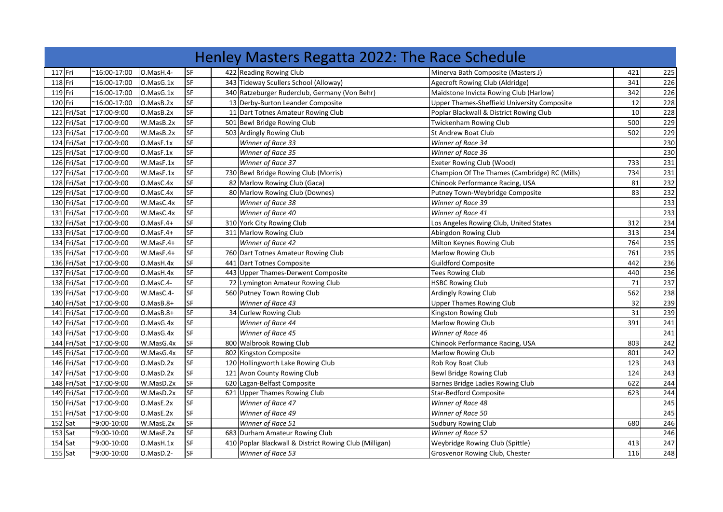|                | Henley Masters Regatta 2022: The Race Schedule |             |           |  |                                                        |                                               |     |     |  |  |
|----------------|------------------------------------------------|-------------|-----------|--|--------------------------------------------------------|-----------------------------------------------|-----|-----|--|--|
| 117 Fri        | $^{\sim}16:00-17:00$                           | O.MasH.4-   | <b>SF</b> |  | 422 Reading Rowing Club                                | Minerva Bath Composite (Masters J)            | 421 | 225 |  |  |
| 118 Fri        | $^{\sim}16:00-17:00$                           | O.MasG.1x   | <b>SF</b> |  | 343 Tideway Scullers School (Alloway)                  | Agecroft Rowing Club (Aldridge)               | 341 | 226 |  |  |
| 119 Fri        | $^{\sim}16:00-17:00$                           | O.MasG.1x   | <b>SF</b> |  | 340 Ratzeburger Ruderclub, Germany (Von Behr)          | Maidstone Invicta Rowing Club (Harlow)        | 342 | 226 |  |  |
| 120 Fri        | $^{\sim}16:00-17:00$                           | O.MasB.2x   | <b>SF</b> |  | 13 Derby-Burton Leander Composite                      | Upper Thames-Sheffield University Composite   | 12  | 228 |  |  |
| Fri/Sat<br>121 | $^{\sim}$ 17:00-9:00                           | O.MasB.2x   | <b>SF</b> |  | 11 Dart Totnes Amateur Rowing Club                     | Poplar Blackwall & District Rowing Club       | 10  | 228 |  |  |
| 122 Fri/Sat    | $^{\sim}$ 17:00-9:00                           | W.MasB.2x   | <b>SF</b> |  | 501 Bewl Bridge Rowing Club                            | Twickenham Rowing Club                        | 500 | 229 |  |  |
| 123 Fri/Sat    | $~^{\sim}$ 17:00-9:00                          | W.MasB.2x   | <b>SF</b> |  | 503 Ardingly Rowing Club                               | <b>St Andrew Boat Club</b>                    | 502 | 229 |  |  |
| 124 Fri/Sat    | $^{\sim}$ 17:00-9:00                           | O.MasF.1x   | <b>SF</b> |  | Winner of Race 33                                      | Winner of Race 34                             |     | 230 |  |  |
| 125 Fri/Sat    | $~^{\sim}$ 17:00-9:00                          | O.MasF.1x   | <b>SF</b> |  | Winner of Race 35                                      | Winner of Race 36                             |     | 230 |  |  |
| 126 Fri/Sat    | $^{\sim}$ 17:00-9:00                           | W.MasF.1x   | <b>SF</b> |  | Winner of Race 37                                      | Exeter Rowing Club (Wood)                     | 733 | 231 |  |  |
| 127 Fri/Sat    | $^{\sim}$ 17:00-9:00                           | W.MasF.1x   | <b>SF</b> |  | 730 Bewl Bridge Rowing Club (Morris)                   | Champion Of The Thames (Cambridge) RC (Mills) | 734 | 231 |  |  |
| 128 Fri/Sat    | $^{\sim}$ 17:00-9:00                           | O.MasC.4x   | <b>SF</b> |  | 82 Marlow Rowing Club (Gaca)                           | Chinook Performance Racing, USA               | 81  | 232 |  |  |
| 129 Fri/Sat    | $~^{\sim}$ 17:00-9:00                          | O.MasC.4x   | <b>SF</b> |  | 80 Marlow Rowing Club (Downes)                         | Putney Town-Weybridge Composite               | 83  | 232 |  |  |
| 130 Fri/Sat    | $~^{\sim}$ 17:00-9:00                          | W.MasC.4x   | <b>SF</b> |  | Winner of Race 38                                      | Winner of Race 39                             |     | 233 |  |  |
| 131 Fri/Sat    | $~^{\sim}$ 17:00-9:00                          | W.MasC.4x   | <b>SF</b> |  | Winner of Race 40                                      | Winner of Race 41                             |     | 233 |  |  |
| 132 Fri/Sat    | $~^{\sim}$ 17:00-9:00                          | O.MasF.4+   | <b>SF</b> |  | 310 York City Rowing Club                              | Los Angeles Rowing Club, United States        | 312 | 234 |  |  |
| 133 Fri/Sat    | $~^{\sim}$ 17:00-9:00                          | $O.MasF.4+$ | <b>SF</b> |  | 311 Marlow Rowing Club                                 | Abingdon Rowing Club                          | 313 | 234 |  |  |
| 134 Fri/Sat    | $~^{\sim}$ 17:00-9:00                          | W.MasF.4+   | <b>SF</b> |  | Winner of Race 42                                      | Milton Keynes Rowing Club                     | 764 | 235 |  |  |
| 135 Fri/Sat    | $~^{\sim}$ 17:00-9:00                          | W.MasF.4+   | <b>SF</b> |  | 760 Dart Totnes Amateur Rowing Club                    | <b>Marlow Rowing Club</b>                     | 761 | 235 |  |  |
| 136 Fri/Sat    | $~^{\sim}$ 17:00-9:00                          | O.MasH.4x   | <b>SF</b> |  | 441 Dart Totnes Composite                              | <b>Guildford Composite</b>                    | 442 | 236 |  |  |
| 137 Fri/Sat    | $~^{\sim}$ 17:00-9:00                          | O.MasH.4x   | <b>SF</b> |  | 443 Upper Thames-Derwent Composite                     | Tees Rowing Club                              | 440 | 236 |  |  |
| 138 Fri/Sat    | $^{\sim}$ 17:00-9:00                           | O.MasC.4-   | <b>SF</b> |  | 72 Lymington Amateur Rowing Club                       | <b>HSBC Rowing Club</b>                       | 71  | 237 |  |  |
| 139 Fri/Sat    | $~^{\sim}$ 17:00-9:00                          | W.MasC.4-   | <b>SF</b> |  | 560 Putney Town Rowing Club                            | Ardingly Rowing Club                          | 562 | 238 |  |  |
| 140 Fri/Sat    | $~^{\sim}$ 17:00-9:00                          | O.MasB.8+   | <b>SF</b> |  | Winner of Race 43                                      | <b>Upper Thames Rowing Club</b>               | 32  | 239 |  |  |
| Fri/Sat<br>141 | $^{\sim}$ 17:00-9:00                           | O.MasB.8+   | <b>SF</b> |  | 34 Curlew Rowing Club                                  | Kingston Rowing Club                          | 31  | 239 |  |  |
| 142<br>Fri/Sat | $~^{\sim}$ 17:00-9:00                          | O.MasG.4x   | <b>SF</b> |  | Winner of Race 44                                      | Marlow Rowing Club                            | 391 | 241 |  |  |
| 143 Fri/Sat    | $^{\sim}$ 17:00-9:00                           | O.MasG.4x   | <b>SF</b> |  | Winner of Race 45                                      | Winner of Race 46                             |     | 241 |  |  |
| 144 Fri/Sat    | $^{\sim}$ 17:00-9:00                           | W.MasG.4x   | <b>SF</b> |  | 800 Walbrook Rowing Club                               | Chinook Performance Racing, USA               | 803 | 242 |  |  |
| 145 Fri/Sat    | $^{\sim}$ 17:00-9:00                           | W.MasG.4x   | <b>SF</b> |  | 802 Kingston Composite                                 | Marlow Rowing Club                            | 801 | 242 |  |  |
| 146 Fri/Sat    | $~^{\sim}$ 17:00-9:00                          | O.MasD.2x   | <b>SF</b> |  | 120 Hollingworth Lake Rowing Club                      | Rob Roy Boat Club                             | 123 | 243 |  |  |
| 147 Fri/Sat    | $~^{\sim}$ 17:00-9:00                          | O.MasD.2x   | <b>SF</b> |  | 121 Avon County Rowing Club                            | Bewl Bridge Rowing Club                       | 124 | 243 |  |  |
| 148 Fri/Sat    | $~^{\sim}$ 17:00-9:00                          | W.MasD.2x   | <b>SF</b> |  | 620 Lagan-Belfast Composite                            | Barnes Bridge Ladies Rowing Club              | 622 | 244 |  |  |
| 149 Fri/Sat    | $^{\sim}$ 17:00-9:00                           | W.MasD.2x   | <b>SF</b> |  | 621 Upper Thames Rowing Club                           | <b>Star-Bedford Composite</b>                 | 623 | 244 |  |  |
| 150 Fri/Sat    | $~^{\sim}$ 17:00-9:00                          | O.MasE.2x   | <b>SF</b> |  | Winner of Race 47                                      | Winner of Race 48                             |     | 245 |  |  |
| 151 Fri/Sat    | $~^{\sim}$ 17:00-9:00                          | O.MasE.2x   | <b>SF</b> |  | Winner of Race 49                                      | Winner of Race 50                             |     | 245 |  |  |
| $152$ Sat      | $^{\sim}9:00-10:00$                            | W.MasE.2x   | <b>SF</b> |  | Winner of Race 51                                      | <b>Sudbury Rowing Club</b>                    | 680 | 246 |  |  |
| $153$ Sat      | $^{\sim}9:00-10:00$                            | W.MasE.2x   | <b>SF</b> |  | 683 Durham Amateur Rowing Club                         | Winner of Race 52                             |     | 246 |  |  |
| 154 Sat        | $^{\sim}$ 9:00-10:00                           | O.MasH.1x   | <b>SF</b> |  | 410 Poplar Blackwall & District Rowing Club (Milligan) | Weybridge Rowing Club (Spittle)               | 413 | 247 |  |  |
| $155$ Sat      | $^{\sim}9:00-10:00$                            | O.MasD.2-   | <b>SF</b> |  | Winner of Race 53                                      | Grosvenor Rowing Club, Chester                | 116 | 248 |  |  |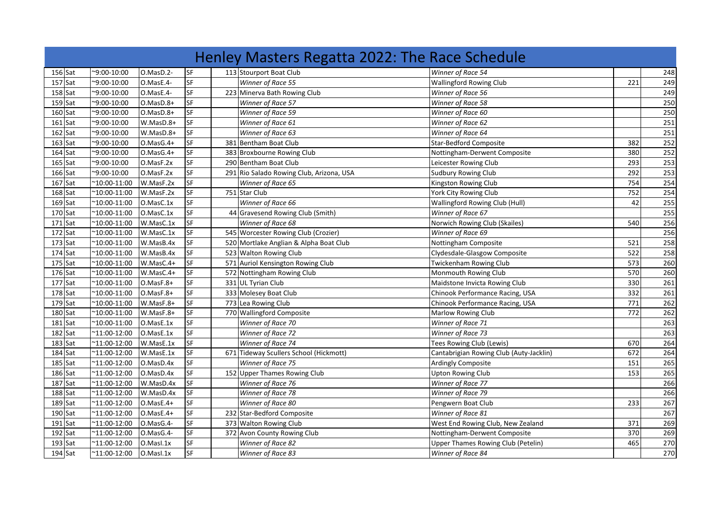|           |                       |             |           | Henley Masters Regatta 2022: The Race Schedule |                                           |     |     |
|-----------|-----------------------|-------------|-----------|------------------------------------------------|-------------------------------------------|-----|-----|
| 156 Sat   | $^{\sim}9:00-10:00$   | O.MasD.2-   | SF        | 113 Stourport Boat Club                        | Winner of Race 54                         |     | 248 |
| 157 Sat   | $^{\sim}9:00-10:00$   | O.MasE.4-   | SF        | Winner of Race 55                              | <b>Wallingford Rowing Club</b>            | 221 | 249 |
| 158 Sat   | $^{\sim}9:00-10:00$   | O.MasE.4-   | SF        | 223 Minerva Bath Rowing Club                   | Winner of Race 56                         |     | 249 |
| 159 Sat   | $^{\sim}9:00-10:00$   | O.MasD.8+   | SF        | Winner of Race 57                              | Winner of Race 58                         |     | 250 |
| 160 Sat   | $^{\sim}9:00-10:00$   | $0.MasD.8+$ | <b>SF</b> | Winner of Race 59                              | Winner of Race 60                         |     | 250 |
| $161$ Sat | $^{\sim}9:00-10:00$   | W.MasD.8+   | <b>SF</b> | Winner of Race 61                              | Winner of Race 62                         |     | 251 |
| 162 Sat   | $^{\sim}9:00-10:00$   | W.MasD.8+   | SF        | Winner of Race 63                              | Winner of Race 64                         |     | 251 |
| 163 Sat   | $^{\sim}9:00-10:00$   | O.MasG.4+   | <b>SF</b> | 381 Bentham Boat Club                          | <b>Star-Bedford Composite</b>             | 382 | 252 |
| 164 Sat   | $^{\sim}9:00-10:00$   | O.MasG.4+   | <b>SF</b> | 383 Broxbourne Rowing Club                     | Nottingham-Derwent Composite              | 380 | 252 |
| 165 Sat   | $9:00-10:00$          | O.MasF.2x   | <b>SF</b> | 290 Bentham Boat Club                          | Leicester Rowing Club                     | 293 | 253 |
| 166 Sat   | ~9:00-10:00           | O.MasF.2x   | SF        | 291 Rio Salado Rowing Club, Arizona, USA       | <b>Sudbury Rowing Club</b>                | 292 | 253 |
| 167 Sat   | $^{\sim}10:00-11:00$  | W.MasF.2x   | SF        | Winner of Race 65                              | Kingston Rowing Club                      | 754 | 254 |
| 168 Sat   | $^{\sim}10:00-11:00$  | W.MasF.2x   | <b>SF</b> | 751 Star Club                                  | York City Rowing Club                     | 752 | 254 |
| 169 Sat   | $^{\sim}10:00-11:00$  | O.MasC.1x   | <b>SF</b> | Winner of Race 66                              | <b>Wallingford Rowing Club (Hull)</b>     | 42  | 255 |
| 170 Sat   | $^{\sim}10:00-11:00$  | O.MasC.1x   | SF        | 44 Gravesend Rowing Club (Smith)               | Winner of Race 67                         |     | 255 |
| 171 Sat   | $^{\sim}10:00-11:00$  | W.MasC.1x   | <b>SF</b> | Winner of Race 68                              | Norwich Rowing Club (Skailes)             | 540 | 256 |
| 172 Sat   | $^{\sim}10:00-11:00$  | W.MasC.1x   | <b>SF</b> | 545 Worcester Rowing Club (Crozier)            | Winner of Race 69                         |     | 256 |
| 173 Sat   | $^{\sim}10:00-11:00$  | W.MasB.4x   | <b>SF</b> | 520 Mortlake Anglian & Alpha Boat Club         | Nottingham Composite                      | 521 | 258 |
| 174 Sat   | $^{\sim}10:00-11:00$  | W.MasB.4x   | <b>SF</b> | 523 Walton Rowing Club                         | Clydesdale-Glasgow Composite              | 522 | 258 |
| 175 Sat   | $^{\sim}10:00-11:00$  | W.MasC.4+   | <b>SF</b> | 571 Auriol Kensington Rowing Club              | Twickenham Rowing Club                    | 573 | 260 |
| 176 Sat   | $^{\sim}10:00-11:00$  | W.MasC.4+   | <b>SF</b> | 572 Nottingham Rowing Club                     | Monmouth Rowing Club                      | 570 | 260 |
| 177 Sat   | $^{\sim}10:00-11:00$  | $O.MasF.8+$ | SF        | 331 UL Tyrian Club                             | Maidstone Invicta Rowing Club             | 330 | 261 |
| 178 Sat   | $^{\sim}10:00-11:00$  | O.MasF.8+   | <b>SF</b> | 333 Molesey Boat Club                          | Chinook Performance Racing, USA           | 332 | 261 |
| 179 Sat   | $^{\sim}10:00-11:00$  | W.MasF.8+   | <b>SF</b> | 773 Lea Rowing Club                            | Chinook Performance Racing, USA           | 771 | 262 |
| 180 Sat   | $^{\sim}10:00-11:00$  | W.MasF.8+   | <b>SF</b> | 770 Wallingford Composite                      | <b>Marlow Rowing Club</b>                 | 772 | 262 |
| 181 Sat   | $^{\sim}10:00-11:00$  | O.MasE.1x   | SF        | Winner of Race 70                              | Winner of Race 71                         |     | 263 |
| 182 Sat   | $^{\sim}11:00-12:00$  | O.MasE.1x   | <b>SF</b> | Winner of Race 72                              | Winner of Race 73                         |     | 263 |
| 183 Sat   | $^{\sim}11:00-12:00$  | W.MasE.1x   | <b>SF</b> | Winner of Race 74                              | Tees Rowing Club (Lewis)                  | 670 | 264 |
| 184 Sat   | $^{\sim}$ 11:00-12:00 | W.MasE.1x   | <b>SF</b> | 671 Tideway Scullers School (Hickmott)         | Cantabrigian Rowing Club (Auty-Jacklin)   | 672 | 264 |
| 185 Sat   | $^{\sim}11:00-12:00$  | O.MasD.4x   | <b>SF</b> | Winner of Race 75                              | Ardingly Composite                        | 151 | 265 |
| 186 Sat   | $^{\sim}11:00-12:00$  | O.MasD.4x   | <b>SF</b> | 152 Upper Thames Rowing Club                   | <b>Upton Rowing Club</b>                  | 153 | 265 |
| 187 Sat   | $^{\sim}$ 11:00-12:00 | W.MasD.4x   | <b>SF</b> | Winner of Race 76                              | Winner of Race 77                         |     | 266 |
| 188 Sat   | $^{\sim}$ 11:00-12:00 | W.MasD.4x   | <b>SF</b> | Winner of Race 78                              | Winner of Race 79                         |     | 266 |
| 189 Sat   | $^{\sim}11:00-12:00$  | O.MasE.4+   | SF        | Winner of Race 80                              | Pengwern Boat Club                        | 233 | 267 |
| 190 Sat   | $^{\sim}$ 11:00-12:00 | O.MasE.4+   | <b>SF</b> | 232 Star-Bedford Composite                     | Winner of Race 81                         |     | 267 |
| 191 Sat   | $^{\sim}$ 11:00-12:00 | O.MasG.4-   | <b>SF</b> | 373 Walton Rowing Club                         | West End Rowing Club, New Zealand         | 371 | 269 |
| 192 Sat   | $^{\sim}$ 11:00-12:00 | O.MasG.4-   | <b>SF</b> | 372 Avon County Rowing Club                    | Nottingham-Derwent Composite              | 370 | 269 |
| 193 Sat   | $^{\sim}11:00-12:00$  | O.Masl.1x   | <b>SF</b> | Winner of Race 82                              | <b>Upper Thames Rowing Club (Petelin)</b> | 465 | 270 |
| 194 Sat   | $^{\sim}$ 11:00-12:00 | O.Masl.1x   | SF        | Winner of Race 83                              | Winner of Race 84                         |     | 270 |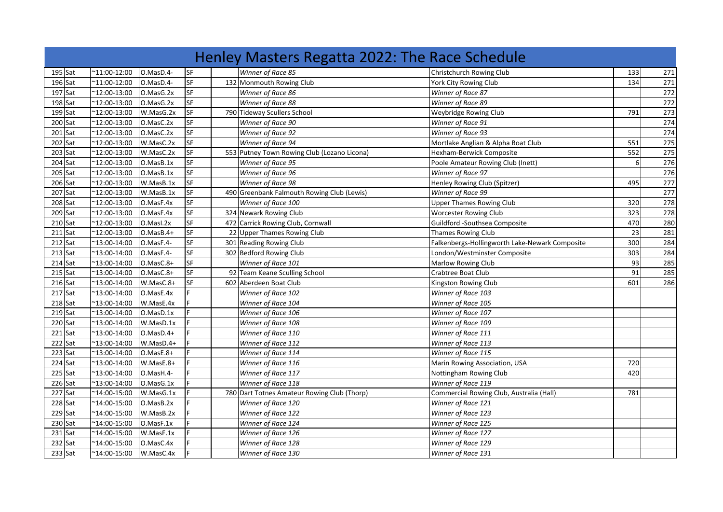|         |                       |             |           | Henley Masters Regatta 2022: The Race Schedule |                                                |     |                  |
|---------|-----------------------|-------------|-----------|------------------------------------------------|------------------------------------------------|-----|------------------|
| 195 Sat | $^{\sim}$ 11:00-12:00 | O.MasD.4-   | SF        | Winner of Race 85                              | Christchurch Rowing Club                       | 133 | 271              |
| 196 Sat | $^{\sim}$ 11:00-12:00 | O.MasD.4-   | SF        | 132 Monmouth Rowing Club                       | York City Rowing Club                          | 134 | 271              |
| 197 Sat | $^{\sim}$ 12:00-13:00 | O.MasG.2x   | SF        | Winner of Race 86                              | Winner of Race 87                              |     | 272              |
| 198 Sat | $^{\sim}$ 12:00-13:00 | O.MasG.2x   | SF        | Winner of Race 88                              | Winner of Race 89                              |     | 272              |
| 199 Sat | $^{\sim}$ 12:00-13:00 | W.MasG.2x   | <b>SF</b> | 790 Tideway Scullers School                    | Weybridge Rowing Club                          | 791 | 273              |
| 200 Sat | $^{\sim}$ 12:00-13:00 | O.MasC.2x   | SF        | Winner of Race 90                              | Winner of Race 91                              |     | 274              |
| 201 Sat | $^{\sim}$ 12:00-13:00 | O.MasC.2x   | <b>SF</b> | Winner of Race 92                              | Winner of Race 93                              |     | 274              |
| 202 Sat | $^{\sim}$ 12:00-13:00 | W.MasC.2x   | SF        | Winner of Race 94                              | Mortlake Anglian & Alpha Boat Club             | 551 | 275              |
| 203 Sat | $^{\sim}$ 12:00-13:00 | W.MasC.2x   | SF        | 553 Putney Town Rowing Club (Lozano Licona)    | Hexham-Berwick Composite                       | 552 | 275              |
| 204 Sat | $^{\sim}$ 12:00-13:00 | O.MasB.1x   | <b>SF</b> | Winner of Race 95                              | Poole Amateur Rowing Club (Inett)              | 6   | 276              |
| 205 Sat | $^{\sim}$ 12:00-13:00 | O.MasB.1x   | SF        | Winner of Race 96                              | Winner of Race 97                              |     | 276              |
| 206 Sat | $^{\sim}$ 12:00-13:00 | W.MasB.1x   | <b>SF</b> | Winner of Race 98                              | Henley Rowing Club (Spitzer)                   | 495 | 277              |
| 207 Sat | $^{\sim}$ 12:00-13:00 | W.MasB.1x   | <b>SF</b> | 490 Greenbank Falmouth Rowing Club (Lewis)     | Winner of Race 99                              |     | $\overline{277}$ |
| 208 Sat | $^{\sim}$ 12:00-13:00 | O.MasF.4x   | <b>SF</b> | Winner of Race 100                             | <b>Upper Thames Rowing Club</b>                | 320 | 278              |
| 209 Sat | $^{\sim}$ 12:00-13:00 | O.MasF.4x   | <b>SF</b> | 324 Newark Rowing Club                         | <b>Worcester Rowing Club</b>                   | 323 | 278              |
| 210 Sat | $^{\sim}$ 12:00-13:00 | O.Masl.2x   | <b>SF</b> | 472 Carrick Rowing Club, Cornwall              | Guildford -Southsea Composite                  | 470 | 280              |
| 211 Sat | $^{\sim}$ 12:00-13:00 | $O.MasB.4+$ | <b>SF</b> | 22 Upper Thames Rowing Club                    | Thames Rowing Club                             | 23  | 281              |
| 212 Sat | $^{\sim}$ 13:00-14:00 | O.MasF.4-   | <b>SF</b> | 301 Reading Rowing Club                        | Falkenbergs-Hollingworth Lake-Newark Composite | 300 | 284              |
| 213 Sat | $^{\sim}$ 13:00-14:00 | O.MasF.4-   | <b>SF</b> | 302 Bedford Rowing Club                        | London/Westminster Composite                   | 303 | 284              |
| 214 Sat | $^{\sim}$ 13:00-14:00 | O.MasC.8+   | <b>SF</b> | Winner of Race 101                             | Marlow Rowing Club                             | 93  | 285              |
| 215 Sat | $^{\sim}$ 13:00-14:00 | O.MasC.8+   | <b>SF</b> | 92 Team Keane Sculling School                  | Crabtree Boat Club                             | 91  | 285              |
| 216 Sat | $^{\sim}$ 13:00-14:00 | W.MasC.8+   | <b>SF</b> | 602 Aberdeen Boat Club                         | Kingston Rowing Club                           | 601 | 286              |
| 217 Sat | $^{\sim}$ 13:00-14:00 | O.MasE.4x   |           | Winner of Race 102                             | Winner of Race 103                             |     |                  |
| 218 Sat | $^{\sim}$ 13:00-14:00 | W.MasE.4x   |           | Winner of Race 104                             | Winner of Race 105                             |     |                  |
| 219 Sat | $^{\sim}$ 13:00-14:00 | O.MasD.1x   |           | Winner of Race 106                             | Winner of Race 107                             |     |                  |
| 220 Sat | $^{\sim}$ 13:00-14:00 | W.MasD.1x   |           | Winner of Race 108                             | Winner of Race 109                             |     |                  |
| 221 Sat | $^{\sim}$ 13:00-14:00 | $0.MasD.4+$ |           | Winner of Race 110                             | Winner of Race 111                             |     |                  |
| 222 Sat | $^{\sim}$ 13:00-14:00 | W.MasD.4+   |           | Winner of Race 112                             | Winner of Race 113                             |     |                  |
| 223 Sat | $^{\sim}$ 13:00-14:00 | O.MasE.8+   |           | Winner of Race 114                             | Winner of Race 115                             |     |                  |
| 224 Sat | $^{\sim}$ 13:00-14:00 | W.MasE.8+   |           | Winner of Race 116                             | Marin Rowing Association, USA                  | 720 |                  |
| 225 Sat | $^{\sim}$ 13:00-14:00 | O.MasH.4-   |           | Winner of Race 117                             | Nottingham Rowing Club                         | 420 |                  |
| 226 Sat | $^{\sim}$ 13:00-14:00 | O.MasG.1x   |           | Winner of Race 118                             | Winner of Race 119                             |     |                  |
| 227 Sat | $^{\sim}$ 14:00-15:00 | W.MasG.1x   |           | 780 Dart Totnes Amateur Rowing Club (Thorp)    | Commercial Rowing Club, Australia (Hall)       | 781 |                  |
| 228 Sat | $^{\sim}$ 14:00-15:00 | O.MasB.2x   |           | Winner of Race 120                             | Winner of Race 121                             |     |                  |
| 229 Sat | $^{\sim}$ 14:00-15:00 | W.MasB.2x   |           | Winner of Race 122                             | Winner of Race 123                             |     |                  |
| 230 Sat | $^{\sim}$ 14:00-15:00 | O.MasF.1x   |           | Winner of Race 124                             | Winner of Race 125                             |     |                  |
| 231 Sat | $^{\sim}$ 14:00-15:00 | W.MasF.1x   |           | Winner of Race 126                             | Winner of Race 127                             |     |                  |
| 232 Sat | $^{\sim}$ 14:00-15:00 | O.MasC.4x   |           | Winner of Race 128                             | Winner of Race 129                             |     |                  |
| 233 Sat | $^{\sim}$ 14:00-15:00 | W.MasC.4x   |           | Winner of Race 130                             | Winner of Race 131                             |     |                  |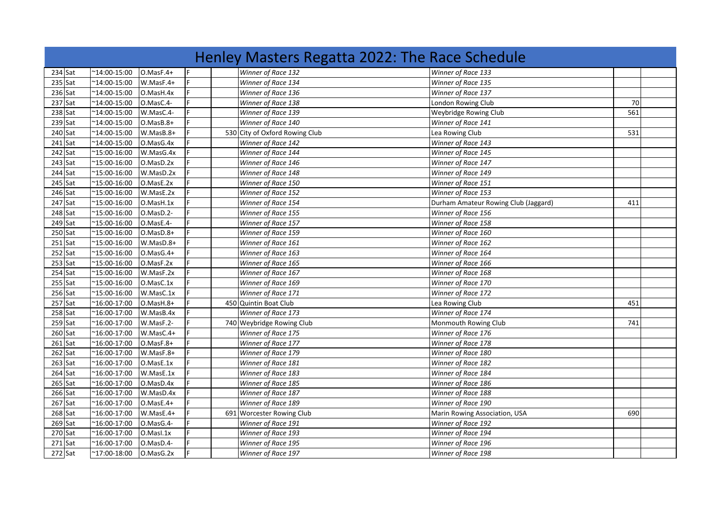|           |                                      | Henley Masters Regatta 2022: The Race Schedule |                                      |     |  |
|-----------|--------------------------------------|------------------------------------------------|--------------------------------------|-----|--|
| 234 Sat   | $^{\sim}$ 14:00-15:00<br>O.MasF.4+   | Winner of Race 132                             | Winner of Race 133                   |     |  |
| 235 Sat   | W.MasF.4+<br>$^{\sim}$ 14:00-15:00   | Winner of Race 134                             | Winner of Race 135                   |     |  |
| 236 Sat   | $^{\sim}$ 14:00-15:00<br>O.MasH.4x   | Winner of Race 136                             | Winner of Race 137                   |     |  |
| 237 Sat   | $^{\sim}$ 14:00-15:00<br>O.MasC.4-   | Winner of Race 138                             | London Rowing Club                   | 70  |  |
| 238 Sat   | $^{\sim}$ 14:00-15:00<br>W.MasC.4-   | Winner of Race 139                             | Weybridge Rowing Club                | 561 |  |
| 239 Sat   | $^{\sim}$ 14:00-15:00<br>$0.MasB.8+$ | Winner of Race 140                             | Winner of Race 141                   |     |  |
| 240 Sat   | $^{\sim}$ 14:00-15:00<br>W.MasB.8+   | 530 City of Oxford Rowing Club                 | Lea Rowing Club                      | 531 |  |
| 241 Sat   | $^{\sim}$ 14:00-15:00<br>O.MasG.4x   | Winner of Race 142                             | Winner of Race 143                   |     |  |
| 242 Sat   | $^{\sim}$ 15:00-16:00<br>W.MasG.4x   | Winner of Race 144                             | Winner of Race 145                   |     |  |
| 243 Sat   | $^{\sim}$ 15:00-16:00<br>O.MasD.2x   | Winner of Race 146                             | Winner of Race 147                   |     |  |
| 244 Sat   | $^{\sim}$ 15:00-16:00<br>W.MasD.2x   | Winner of Race 148                             | Winner of Race 149                   |     |  |
| 245 Sat   | $^{\sim}$ 15:00-16:00<br>O.MasE.2x   | Winner of Race 150                             | Winner of Race 151                   |     |  |
| 246 Sat   | $^{\sim}$ 15:00-16:00<br>W.MasE.2x   | Winner of Race 152                             | Winner of Race 153                   |     |  |
| 247 Sat   | $^{\sim}$ 15:00-16:00<br>O.MasH.1x   | Winner of Race 154                             | Durham Amateur Rowing Club (Jaggard) | 411 |  |
| 248 Sat   | $^{\sim}$ 15:00-16:00<br>O.MasD.2-   | Winner of Race 155                             | Winner of Race 156                   |     |  |
| 249 Sat   | $^{\sim}$ 15:00-16:00<br>O.MasE.4-   | Winner of Race 157                             | Winner of Race 158                   |     |  |
| 250 Sat   | $^{\sim}$ 15:00-16:00<br>$0.MaSD.8+$ | Winner of Race 159                             | Winner of Race 160                   |     |  |
| 251 Sat   | $^{\sim}$ 15:00-16:00<br>W.MasD.8+   | Winner of Race 161                             | Winner of Race 162                   |     |  |
| $252$ Sat | $^{\sim}$ 15:00-16:00<br>$0.MasG.4+$ | Winner of Race 163                             | Winner of Race 164                   |     |  |
| 253 Sat   | $^{\sim}$ 15:00-16:00<br>O.MasF.2x   | Winner of Race 165                             | Winner of Race 166                   |     |  |
| 254 Sat   | $^{\sim}$ 15:00-16:00<br>W.MasF.2x   | Winner of Race 167                             | Winner of Race 168                   |     |  |
| 255 Sat   | $^{\sim}$ 15:00-16:00<br>O.MasC.1x   | Winner of Race 169                             | Winner of Race 170                   |     |  |
| 256 Sat   | $^{\sim}$ 15:00-16:00<br>W.MasC.1x   | Winner of Race 171                             | Winner of Race 172                   |     |  |
| 257 Sat   | $^{\sim}16:00-17:00$<br>O.MasH.8+    | 450 Quintin Boat Club                          | Lea Rowing Club                      | 451 |  |
| 258 Sat   | $^{\sim}16:00-17:00$<br>W.MasB.4x    | Winner of Race 173                             | Winner of Race 174                   |     |  |
| 259 Sat   | $^{\sim}16:00-17:00$<br>W.MasF.2-    | 740 Weybridge Rowing Club                      | Monmouth Rowing Club                 | 741 |  |
| 260 Sat   | $^{\sim}16:00-17:00$<br>W.MasC.4+    | Winner of Race 175                             | Winner of Race 176                   |     |  |
| 261 Sat   | $^{\sim}16:00-17:00$<br>$O.MasF.8+$  | Winner of Race 177                             | Winner of Race 178                   |     |  |
| 262 Sat   | $^{\sim}16:00-17:00$<br>W.MasF.8+    | Winner of Race 179                             | Winner of Race 180                   |     |  |
| 263 Sat   | $^{\sim}16:00-17:00$<br>O.MasE.1x    | Winner of Race 181                             | Winner of Race 182                   |     |  |
| 264 Sat   | $^{\sim}16:00-17:00$<br>W.MasE.1x    | Winner of Race 183                             | Winner of Race 184                   |     |  |
| 265 Sat   | $^{\sim}$ 16:00-17:00<br>O.MasD.4x   | Winner of Race 185                             | Winner of Race 186                   |     |  |
| 266 Sat   | $^{\sim}$ 16:00-17:00<br>W.MasD.4x   | Winner of Race 187                             | Winner of Race 188                   |     |  |
| 267 Sat   | $^{\sim}16:00-17:00$<br>O.MasE.4+    | Winner of Race 189                             | Winner of Race 190                   |     |  |
| 268 Sat   | $^{\sim}16:00-17:00$<br>W.MasE.4+    | 691 Worcester Rowing Club                      | Marin Rowing Association, USA        | 690 |  |
| 269 Sat   | $^{\sim}16:00-17:00$<br>O.MasG.4-    | Winner of Race 191                             | Winner of Race 192                   |     |  |
| 270 Sat   | $^{\sim}16:00-17:00$<br>O.Masl.1x    | Winner of Race 193                             | Winner of Race 194                   |     |  |
| 271 Sat   | $^{\sim}16:00-17:00$<br>O.MasD.4-    | Winner of Race 195                             | Winner of Race 196                   |     |  |
| 272 Sat   | $^{\sim}$ 17:00-18:00<br>O.MasG.2x   | Winner of Race 197                             | Winner of Race 198                   |     |  |